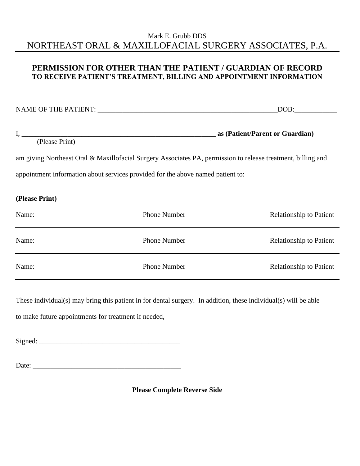## Mark E. Grubb DDS NORTHEAST ORAL & MAXILLOFACIAL SURGERY ASSOCIATES, P.A.

## **PERMISSION FOR OTHER THAN THE PATIENT / GUARDIAN OF RECORD TO RECEIVE PATIENT'S TREATMENT, BILLING AND APPOINTMENT INFORMATION**

NAME OF THE PATIENT: \_\_\_\_\_\_\_\_\_\_\_\_\_\_\_\_\_\_\_\_\_\_\_\_\_\_\_\_\_\_\_\_\_\_\_\_\_\_\_\_\_\_\_\_\_\_\_\_\_\_\_DOB:\_\_\_\_\_\_\_\_\_\_\_\_

I, \_\_\_\_\_\_\_\_\_\_\_\_\_\_\_\_\_\_\_\_\_\_\_\_\_\_\_\_\_\_\_\_\_\_\_\_\_\_\_\_\_\_\_\_\_\_\_\_\_\_\_\_\_\_\_ **as (Patient/Parent or Guardian)** 

(Please Print)

am giving Northeast Oral & Maxillofacial Surgery Associates PA, permission to release treatment, billing and appointment information about services provided for the above named patient to:

**(Please Print)** 

| Name: | <b>Phone Number</b> | <b>Relationship to Patient</b> |
|-------|---------------------|--------------------------------|
| Name: | <b>Phone Number</b> | <b>Relationship to Patient</b> |
| Name: | <b>Phone Number</b> | <b>Relationship to Patient</b> |

These individual(s) may bring this patient in for dental surgery. In addition, these individual(s) will be able

to make future appointments for treatment if needed,

 $Signal:$ 

Date:

**Please Complete Reverse Side**